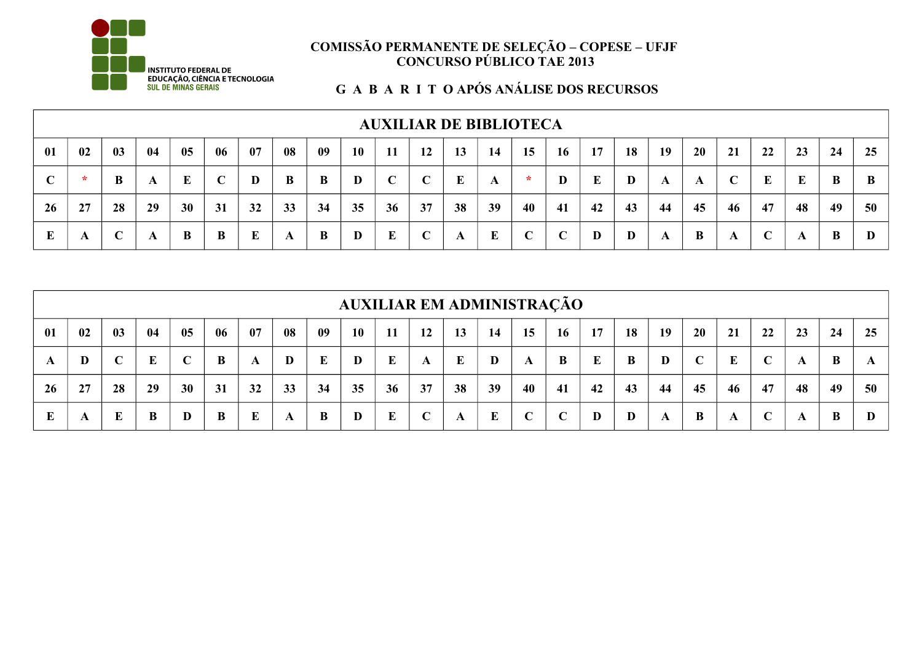

## **EXERCISE DE LA BRACIA E TECNOLOGIA DE LA BRACIA E DE LA BRACIA E DE LA BRACIA E DE LA BRACIA E DE LA BRACIA E<br>EDUCAÇÃO, CIÊNCIA E TECNOLOGIA DE LA BRACIA E LA BRACIA E DOS RECURSOS<br>SUL DE MINAS GERAIS**

|    |                                                                                                                                              |    |    |    |    |    |    |    |    |            |    |    | <b>AUXILIAR DE BIBLIOTECA</b> |                 |             |    |    |    |    |    |    |    |    |    |
|----|----------------------------------------------------------------------------------------------------------------------------------------------|----|----|----|----|----|----|----|----|------------|----|----|-------------------------------|-----------------|-------------|----|----|----|----|----|----|----|----|----|
| 01 | 20<br>18<br>02<br>04<br>06<br>08<br>10<br>19<br>05<br>09<br>17<br>22<br>07<br>12<br>15<br>16<br>23<br>03<br>11<br>14<br>24<br>25<br>13<br>21 |    |    |    |    |    |    |    |    |            |    |    |                               |                 |             |    |    |    |    |    |    |    |    |    |
|    | *                                                                                                                                            | B  | A  | E  | C  | D  | B  | B  | D  | $\sqrt{ }$ |    | E  | A                             | $\ast$          | D           | E  | D  | A  | A  |    | E  | E  | B  |    |
| 26 | 27                                                                                                                                           | 28 | 29 | 30 | 31 | 32 | 33 | 34 | 35 | 36         | 37 | 38 | 39                            | 40              | 41          | 42 | 43 | 44 | 45 | 46 | 47 | 48 | 49 | 50 |
|    | A                                                                                                                                            |    | A  | B  | B  | E  | A  | B  | D  | E          |    |    | E                             | $\sqrt{ }$<br>◡ | $\mathbf C$ | D  | D  | A  | B  | A  | C  | A  | B  |    |

|    |                                                                                                                                               |    |    |    |    |    |    |          |    |    |    | <b>AUXILIAR EM ADMINISTRAÇÃO</b> |    |            |             |    |    |    |             |    |            |    |    |    |
|----|-----------------------------------------------------------------------------------------------------------------------------------------------|----|----|----|----|----|----|----------|----|----|----|----------------------------------|----|------------|-------------|----|----|----|-------------|----|------------|----|----|----|
| 01 | 06<br>08<br>07<br>02<br>04<br>16<br>09<br>10<br>05<br>15<br>17<br>18<br>20<br>23<br>25<br>12<br>14<br>22<br>24<br>03<br>-11<br>13<br>19<br>21 |    |    |    |    |    |    |          |    |    |    |                                  |    |            |             |    |    |    |             |    |            |    |    |    |
| A  | D                                                                                                                                             |    | E  | C  | B  | A  | D  | $\bf{E}$ | D  | E  | A  | E                                | D  | A          | B           | E  | B  | D  | $\mathbf C$ | E  | $\sqrt{ }$ | A  | B  |    |
| 26 | 27                                                                                                                                            | 28 | 29 | 30 | 31 | 32 | 33 | 34       | 35 | 36 | 37 | 38                               | 39 | 40         | 41          | 42 | 43 | 44 | 45          | 46 | 47         | 48 | 49 | 50 |
|    | A                                                                                                                                             | E  | B  | D  | B  | E  | A  | B        | D  | E  |    | A                                | E  | $\sqrt{ }$ | $\mathbf C$ | D  | D  | A  | B           | A  |            |    | B  |    |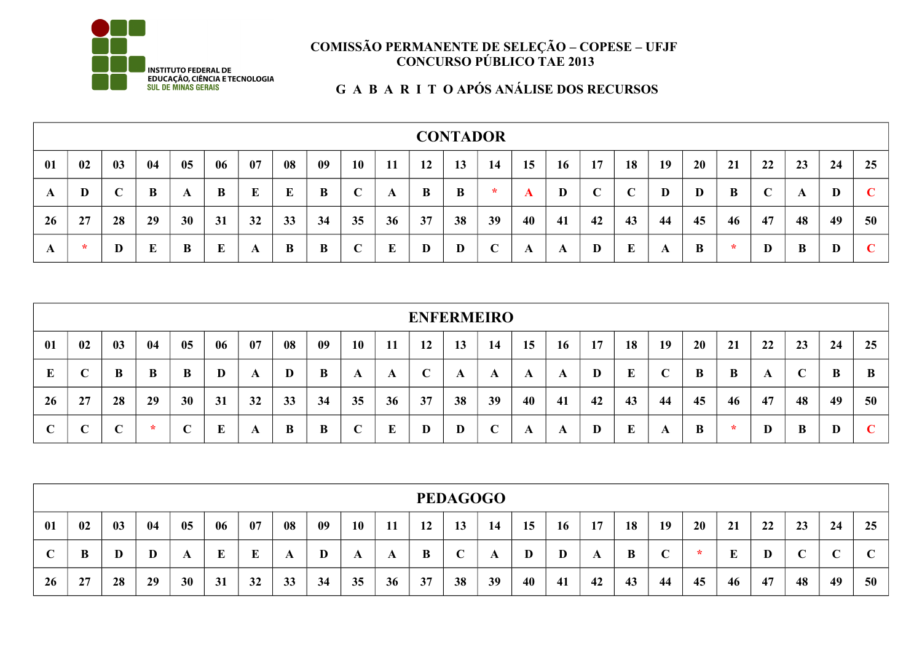

## **EXECUTIVE DE LA CONCERTADE DE LA CONCERTADE DE LA CONCERTADE DE LA CONCERTADE DE MINAS GERAIS DE LA GUIDE MINAS GERAIS<br>
SUL DE MINAS GERAIS CONCERTADE DOS RECURSOS<br>
G A B A R I T O APÓS ANÁLISE DOS RECURSOS**

| 01 | 02     | <b>CONTADOR</b><br>09<br>08<br><b>10</b><br>20<br>04<br>06<br>18<br>19<br>03<br>07<br>22<br>05<br>17<br>23<br>25<br>11<br>12<br>16<br>21<br>14<br>15<br>24<br>13<br>E<br>$\mathbf C$<br>$\mathbf C$<br>B<br>B<br>$\mathbf C$<br>B<br>B<br>B<br>E<br>$\ast$<br>$\sqrt{ }$<br>D<br>D<br>D<br>D<br>B<br>A<br>A<br>A<br>A<br>33<br>35<br>37<br>39<br>43<br>45<br>47<br>49<br>29<br>31<br>34<br>38<br>46<br>48<br>30<br>32<br>36<br>40<br>41<br>50<br>42<br>44<br>28<br>E<br>$\mathbf C$<br>B<br>E<br>E<br>B<br>$\mathbf C$<br>B<br>E<br>D<br>D<br>D<br>B<br>D<br>D<br>B<br>D<br>$\ast$<br>A<br>A<br>A<br>A |  |  |  |  |  |  |  |  |  |  |  |  |
|----|--------|--------------------------------------------------------------------------------------------------------------------------------------------------------------------------------------------------------------------------------------------------------------------------------------------------------------------------------------------------------------------------------------------------------------------------------------------------------------------------------------------------------------------------------------------------------------------------------------------------------|--|--|--|--|--|--|--|--|--|--|--|--|
| A  | D      |                                                                                                                                                                                                                                                                                                                                                                                                                                                                                                                                                                                                        |  |  |  |  |  |  |  |  |  |  |  |  |
| 26 | 27     |                                                                                                                                                                                                                                                                                                                                                                                                                                                                                                                                                                                                        |  |  |  |  |  |  |  |  |  |  |  |  |
| A  | $\ast$ |                                                                                                                                                                                                                                                                                                                                                                                                                                                                                                                                                                                                        |  |  |  |  |  |  |  |  |  |  |  |  |

|            |                                                                                                                                              |            |        |    |    |    |    |    |             |    |              | <b>ENFERMEIRO</b> |             |    |    |    |    |    |    |    |    |    |    |    |
|------------|----------------------------------------------------------------------------------------------------------------------------------------------|------------|--------|----|----|----|----|----|-------------|----|--------------|-------------------|-------------|----|----|----|----|----|----|----|----|----|----|----|
| 01         | 02<br>06<br>04<br>08<br>10<br>18<br>03<br>05<br>07<br>09<br>19<br>20<br>16<br>17<br>22<br>25<br>12<br>15<br>24<br>11<br>23<br>14<br>21<br>13 |            |        |    |    |    |    |    |             |    |              |                   |             |    |    |    |    |    |    |    |    |    |    |    |
| E          | $\sqrt{ }$                                                                                                                                   | B          | B      | B  | D  | A  | D  | B  | A           | A  | $\mathbf{C}$ | A                 | A           | A  | A  | D  | E  |    | B  | B  | A  |    | B  | B  |
| 26         | 27                                                                                                                                           | 28         | 29     | 30 | 31 | 32 | 33 | 34 | 35          | 36 | 37           | 38                | 39          | 40 | 41 | 42 | 43 | 44 | 45 | 46 | 47 | 48 | 49 | 50 |
| $\sqrt{ }$ | $\sqrt{ }$                                                                                                                                   | $\sqrt{ }$ | $\ast$ |    | Е  | A  | B  | B  | $\mathbf C$ | E  | D            | D                 | $\mathbf C$ | A  | A  | D  | E  |    | B  | ÷  | D  | B  | D  |    |

|            |    |               |    |    |    |    |    |    |           |    |    | <b>PEDAGOGO</b> |    |    |    |    |    |    |    |    |    |    |    |    |
|------------|----|---------------|----|----|----|----|----|----|-----------|----|----|-----------------|----|----|----|----|----|----|----|----|----|----|----|----|
| 01         | 02 | $\mathbf{03}$ | 04 | 05 | 06 | 07 | 08 | 09 | <b>10</b> | 11 | 12 | 13              | 14 | 15 | 16 | 17 | 18 | 19 | 20 | 21 | 22 | 23 | 24 | 25 |
| $\sqrt{ }$ | B  | D             | D  |    | L  | Ŀ  | A  | D  | A         |    | B  | $\sqrt{ }$      | A  | D  | D  | A  | B  |    | ÷  | E  | D  |    |    |    |
| 26         | 27 | 28            | 29 | 30 | 31 | 32 | 33 | 34 | 35        | 36 | 37 | 38              | 39 | 40 | 41 | 42 | 43 | 44 | 45 | 46 | 47 | 48 | 49 | 50 |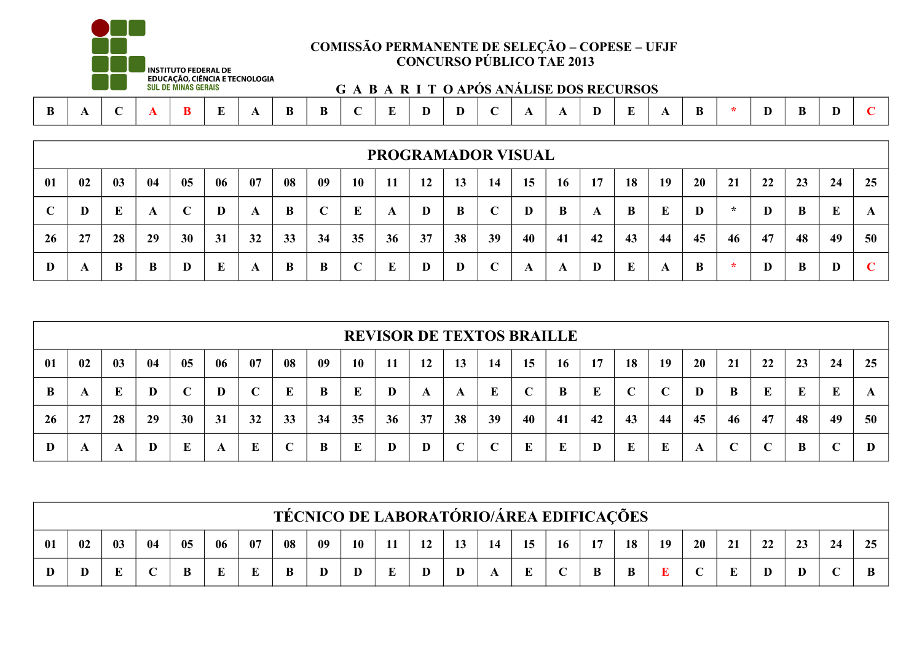

# **Exploration CONSULTS ANÁLISE DOS RECURSOS**<br>
Educação, ciência e tecnologia<br>
G A B A R I T O APÓS ANÁLISE DOS RECURSOS

| R<br>R<br>в<br>. |  |  |  |  |  |  |  |  |  |  |  |  |  |  |  |  |  |  |  |  |  |  |  |  |
|------------------|--|--|--|--|--|--|--|--|--|--|--|--|--|--|--|--|--|--|--|--|--|--|--|--|
|------------------|--|--|--|--|--|--|--|--|--|--|--|--|--|--|--|--|--|--|--|--|--|--|--|--|

|    |                                                                                                                                               |    |    |    |    |    |    |    |             |    |    |    | <b>PROGRAMADOR VISUAL</b> |    |    |    |    |    |    |         |    |    |    |    |
|----|-----------------------------------------------------------------------------------------------------------------------------------------------|----|----|----|----|----|----|----|-------------|----|----|----|---------------------------|----|----|----|----|----|----|---------|----|----|----|----|
| 01 | 06<br>08<br>10<br>22<br>24<br>25<br>02<br>04<br>07<br>-09<br>12<br>18<br>20<br>23<br>05<br>13<br>14<br>15<br>16<br>19<br>21<br>03<br>17<br>11 |    |    |    |    |    |    |    |             |    |    |    |                           |    |    |    |    |    |    |         |    |    |    |    |
| C  | D                                                                                                                                             | E  | A  | ◡  | D  | A  | B  |    | E           | A  | D  | B  | $\mathbf C$               |    | B  | A  | B  | E  | D  | $\star$ | D  | B  | E  |    |
| 26 | 27                                                                                                                                            | 28 | 29 | 30 | 31 | 32 | 33 | 34 | 35          | 36 | 37 | 38 | 39                        | 40 | 41 | 42 | 43 | 44 | 45 | 46      | 47 | 48 | 49 | 50 |
| D  | A                                                                                                                                             | B  | B  | D  | E  | A  | B  | B  | $\mathbf C$ | E  | D  | D  | $\mathbf C$               | A  | A  | D  | E  | A  | B  | $\star$ | D  | B  | D  |    |

|              |    |               |    |    |    |    |             |    |           |    |    |            | <b>REVISOR DE TEXTOS BRAILLE</b> |    |           |    |             |            |           |    |             |    |             |    |
|--------------|----|---------------|----|----|----|----|-------------|----|-----------|----|----|------------|----------------------------------|----|-----------|----|-------------|------------|-----------|----|-------------|----|-------------|----|
| 01           | 02 | $\mathbf{03}$ | 04 | 05 | 06 | 07 | 08          | 09 | <b>10</b> | 11 | 12 | 13         | 14                               | 15 | <b>16</b> | 17 | 18          | 19         | <b>20</b> | 21 | 22          | 23 | 24          | 25 |
| $\mathbf{B}$ | A  |               | D  |    | D  |    | E           | B  | E         | D  | A  | A          | E                                |    | B         | E  | $\mathbf C$ | $\sqrt{ }$ | D         | B  | E           |    | E           | A  |
| 26           | 27 | 28            | 29 | 30 | 31 | 32 | 33          | 34 | 35        | 36 | 37 | 38         | 39                               | 40 | 41        | 42 | 43          | 44         | 45        | 46 | 47          | 48 | 49          | 50 |
| D            | A  | A             | D  | E  | A  | E  | $\mathbf C$ | B  | E         | D  | D  | $\sqrt{ }$ |                                  | E  | E         | D  | E           | E          | A         | C  | $\mathbf C$ | B  | $\mathbf C$ |    |

|    | <b>TÉCNICO DE LABORATÓRIO/ÁREA EDIFICAÇÕES</b> |    |    |    |    |    |    |    |    |  |          |          |  |         |            |        |    |    |            |    |    |    |    |     |
|----|------------------------------------------------|----|----|----|----|----|----|----|----|--|----------|----------|--|---------|------------|--------|----|----|------------|----|----|----|----|-----|
| 01 | 02                                             | 03 | 04 | 05 | 06 | 07 | 08 | 09 | 10 |  | 12<br>┸᠘ | 12<br>19 |  | 15      | <b>16</b>  | 17     | 18 | 19 | 20         | 21 | 22 | 23 | 24 | OE. |
|    | $\mathbf{D}$                                   |    |    |    | ш  | ш  | B  | IJ | D  |  |          |          |  | ТD<br>ш | $\sqrt{ }$ | D<br>D | B  | T. | $\sqrt{ }$ |    |    |    |    |     |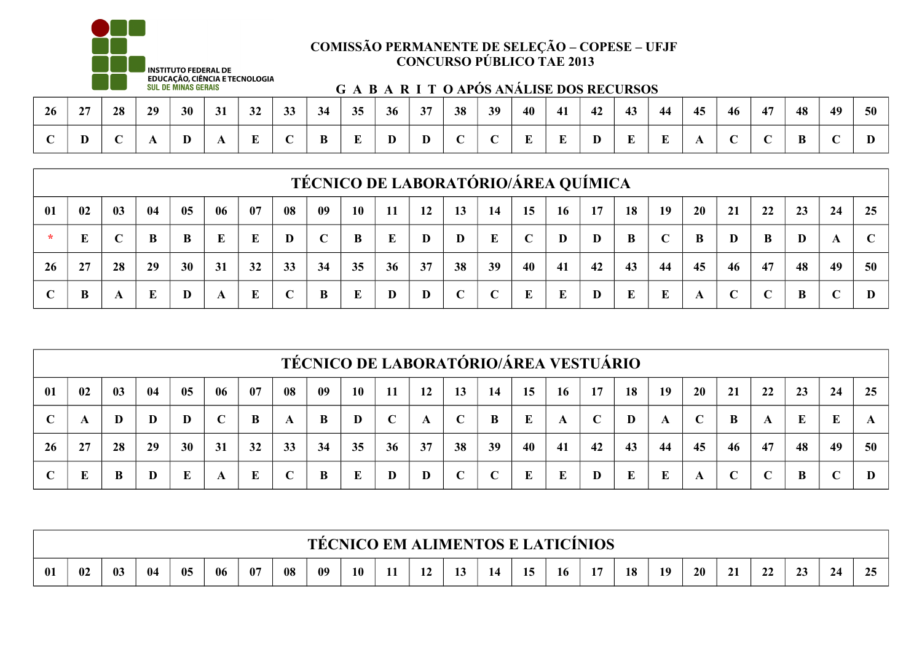

|    |                          |            |    | ----------------- |              |              |              |        |     |    |        |    |    |    |     | G A B A R I I O'AROS ANALISE DOS RECURSOS |    |    |                |    |    |    |    |    |
|----|--------------------------|------------|----|-------------------|--------------|--------------|--------------|--------|-----|----|--------|----|----|----|-----|-------------------------------------------|----|----|----------------|----|----|----|----|----|
| 26 | $\sim$<br>$\overline{ }$ | 28         | 29 | 30                | 31           | $\sim$<br>32 | $\sim$<br>99 | 34     | 35  | 36 | 37     | 38 | 39 | 40 | 41  | 42                                        | 43 | 44 | 45             | 46 | 47 | 48 | 49 | 50 |
|    | v                        | $\sqrt{ }$ |    | T.<br>υ           | $\mathbf{L}$ | Ð<br>- 12    |              | D<br>் | . . | ╜  | D<br>v |    |    | -  | . . |                                           |    |    | $\overline{1}$ |    |    | D  |    |    |

|    |    |    |    |    |    |     |             |     |           |     |    |    |             |    |           | TÉCNICO DE LABORATÓRIO/ÁREA QUÍMICA |    |            |           |                            |             |    |            |    |
|----|----|----|----|----|----|-----|-------------|-----|-----------|-----|----|----|-------------|----|-----------|-------------------------------------|----|------------|-----------|----------------------------|-------------|----|------------|----|
| 01 | 02 | 03 | 04 | 05 | 06 | -07 | 08          | -09 | <b>10</b> | -11 | 12 | 13 | 14          | 15 | <b>16</b> | 17                                  | 18 | 19         | <b>20</b> | 21                         | 22          | 23 | 24         | 25 |
|    | E  |    | B  | B  | E  | E   | D           |     | B         | E   | D  | D  | $\bf{E}$    | C  | D         | D                                   | B  | $\sqrt{ }$ | B         | D                          | B           | D  | A          |    |
| 26 | 27 | 28 | 29 | 30 | 31 | 32  | 33          | 34  | 35        | 36  | 37 | 38 | 39          | 40 | 41        | 42                                  | 43 | 44         | 45        | 46                         | 47          | 48 | 49         | 50 |
|    | B  | A  | E  | D  | A  | E   | $\mathbf C$ | B   | E         |     | D  | C  | $\mathbf C$ | E  | E         | D                                   | E  | E          | A         | $\sqrt{ }$<br>$\mathbf{L}$ | $\mathbf C$ | B  | $\sqrt{ }$ |    |

|             |                                                                                                                                                                   |    |    |           |    |    |             |    |    |    |    |    | TÉCNICO DE LABORATÓRIO/ÁREA VESTUÁRIO |    |              |    |    |    |             |              |              |    |    |    |
|-------------|-------------------------------------------------------------------------------------------------------------------------------------------------------------------|----|----|-----------|----|----|-------------|----|----|----|----|----|---------------------------------------|----|--------------|----|----|----|-------------|--------------|--------------|----|----|----|
| 01          | 02<br>06<br>04<br>08<br>20<br>05<br>07<br>03<br>09<br><b>10</b><br>18<br>19<br>22<br><b>12</b><br>16<br>17<br>21<br>23<br>24<br>14<br>25<br>15<br><b>11</b><br>13 |    |    |           |    |    |             |    |    |    |    |    |                                       |    |              |    |    |    |             |              |              |    |    |    |
| $\mathbf C$ | A                                                                                                                                                                 | D  | D  | D         | C  | B  | A           | B  | D  | C  | A  |    | B                                     | E  | $\mathbf{A}$ | C  | D  | A  | $\mathbf C$ | B            | A            | E  | E  |    |
| <b>26</b>   | 27                                                                                                                                                                | 28 | 29 | <b>30</b> | 31 | 32 | 33          | 34 | 35 | 36 | 37 | 38 | 39                                    | 40 | 41           | 42 | 43 | 44 | 45          | 46           | 47           | 48 | 49 | 50 |
| $\sqrt{ }$  | E                                                                                                                                                                 | B  | D  |           | A  | E  | $\mathbf C$ | B  | E  | D  | D  |    | C                                     | E  | E            | D  | E  | E  | A           | $\mathsf{C}$ | $\mathbb{C}$ | B  | C  |    |

|    | <b>TÉCNICO EM ALIMENTOS E LATICÍNIOS</b> |    |     |      |    |    |    |    |           |  |                               |    |    |    |    |    |    |    |    |             |    |    |    |   |
|----|------------------------------------------|----|-----|------|----|----|----|----|-----------|--|-------------------------------|----|----|----|----|----|----|----|----|-------------|----|----|----|---|
| 01 | 02                                       | 03 | -04 | - 05 | 06 | 07 | 08 | 09 | <b>10</b> |  | $\sim$ $\sim$<br>$\mathbf{L}$ | 1J | 14 | 15 | 16 | 17 | 18 | 19 | 20 | $\sim$<br>◢ | -- | د∠ | 47 | ້ |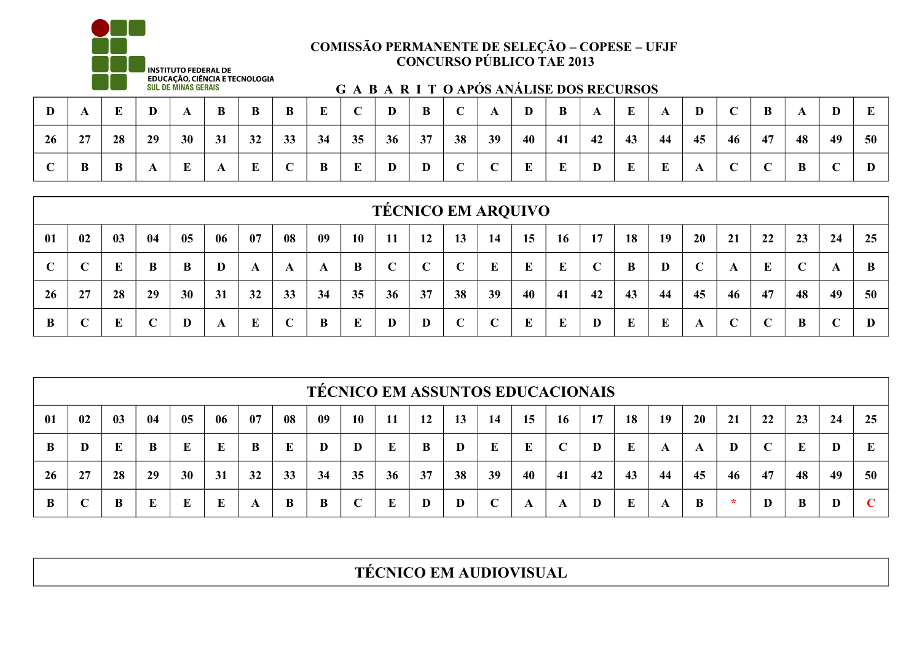

|             |    |    |    | ______ ___ |    |          |    |    | G A B A K I I O'APOS ANALISE DOS KEUUKSOS |    |          |                 |                 |    |          |    |    |    |    |                 |    |    |            |        |
|-------------|----|----|----|------------|----|----------|----|----|-------------------------------------------|----|----------|-----------------|-----------------|----|----------|----|----|----|----|-----------------|----|----|------------|--------|
| D           |    |    |    |            |    | $\bf{B}$ |    |    |                                           | D  | $\bf{B}$ | $\sqrt{ }$      |                 | D  | $\bf{B}$ | A  | E  | A  | D  |                 | B  |    | D          | ю<br>ய |
| 26          | 27 | 28 | 29 | 30         | 31 | 32       | 33 | 34 | 35                                        | 36 | 37       | 38              | 39              | 40 | 41       | 42 | 43 | 44 | 45 | 46              | 47 | 48 | 49         | 50     |
| $\mathbf C$ | B  | B  |    | Ľ          |    |          |    | B  |                                           | D  | D        | $\sqrt{ }$<br>◡ | $\sqrt{ }$<br>◡ | E  | E        | D  | E  | E  | A  | $\sqrt{ }$<br>◡ | ◡  | B  | $\sqrt{ }$ | D      |

|    |             |    |    |    |    |    |             |    |           |     | <b>TÉCNICO EM ARQUIVO</b> |            |             |    |    |            |    |    |             |    |            |    |    |    |
|----|-------------|----|----|----|----|----|-------------|----|-----------|-----|---------------------------|------------|-------------|----|----|------------|----|----|-------------|----|------------|----|----|----|
| 01 | 02          | 03 | 04 | 05 | 06 | 07 | 08          | 09 | <b>10</b> | -11 | 12                        | 13         | 14          | 15 | 16 | 17         | 18 | 19 | 20          | 21 | 22         | 23 | 24 | 25 |
| ◟  | $\mathbf C$ | Е  | B  | B  | D  | A  | A           | A  | B         |     | $\mathbf C$               | $\sqrt{ }$ | E           | E  | E  | $\sqrt{ }$ | B  | D  | $\mathbf C$ | A  | E          | ◡  | A  | B  |
| 26 | 27          | 28 | 29 | 30 | 31 | 32 | 33          | 34 | 35        | 36  | 37                        | 38         | 39          | 40 | 41 | 42         | 43 | 44 | 45          | 46 | 47         | 48 | 49 | 50 |
| B  |             | E  |    | D  | A  | E  | $\mathbf C$ | B  | E         |     | D                         | $\sqrt{ }$ | $\mathbf C$ | E  | E  | D          | E  | E  | A           |    | $\sqrt{ }$ | B  | ⌒  |    |

|              |            |    |    |           |    |    |    |    |             |    |    |    |             |    |             | <b>TECNICO EM ASSUNTOS EDUCACIONAIS</b> |    |    |    |    |                 |    |    |    |
|--------------|------------|----|----|-----------|----|----|----|----|-------------|----|----|----|-------------|----|-------------|-----------------------------------------|----|----|----|----|-----------------|----|----|----|
| 01           | 02         | 03 | 04 | 05        | 06 | 07 | 08 | 09 | <b>10</b>   | 11 | 12 | 13 | 14          | 15 | 16          | 17                                      | 18 | 19 | 20 | 21 | 22              | 23 | 24 | 25 |
| B            | D          |    | B  | E         | E  | B  | E  | D  | D           | E  | B  | D  | E           | E  | $\mathbf C$ | D                                       | E  | A  | A  | D  | $\sqrt{ }$<br>◡ | E  | D  |    |
| <b>26</b>    | 27         | 28 | 29 | <b>30</b> | 31 | 32 | 33 | 34 | 35          | 36 | 37 | 38 | 39          | 40 | 41          | 42                                      | 43 | 44 | 45 | 46 | 47              | 48 | 49 | 50 |
| <sup>B</sup> | $\sqrt{ }$ | B  | E  | E         | E  | A  | B  | B  | $\mathbf C$ |    | D  | D  | $\mathbf C$ | A  | A           | D                                       | E  | A  | B  | ∗  | D               | B  | D  |    |

**TÉCNICO EM AUDIOVISUAL**